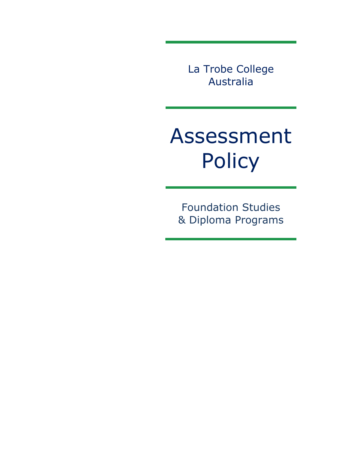La Trobe College Australia

# Assessment Policy

Foundation Studies & Diploma Programs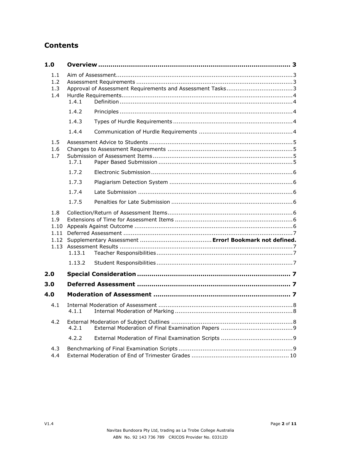## **Contents**

| 1.0                                  |        |  |  |  |
|--------------------------------------|--------|--|--|--|
| 1.1<br>1.2<br>1.3<br>1.4             | 1.4.1  |  |  |  |
|                                      | 1.4.2  |  |  |  |
|                                      | 1.4.3  |  |  |  |
|                                      | 1.4.4  |  |  |  |
| 1.5<br>1.6<br>1.7                    | 1.7.1  |  |  |  |
|                                      | 1.7.2  |  |  |  |
|                                      | 1.7.3  |  |  |  |
|                                      | 1.7.4  |  |  |  |
|                                      | 1.7.5  |  |  |  |
| 1.8<br>1.9<br>1.10<br>1.11<br>1.13.1 |        |  |  |  |
|                                      | 1.13.2 |  |  |  |
| 2.0                                  |        |  |  |  |
| 3.0                                  |        |  |  |  |
| 4.0                                  |        |  |  |  |
| 4.1                                  | 4.1.1  |  |  |  |
| 4.2                                  | 4.2.1  |  |  |  |
|                                      | 4.2.2  |  |  |  |
| 4.3<br>4.4                           |        |  |  |  |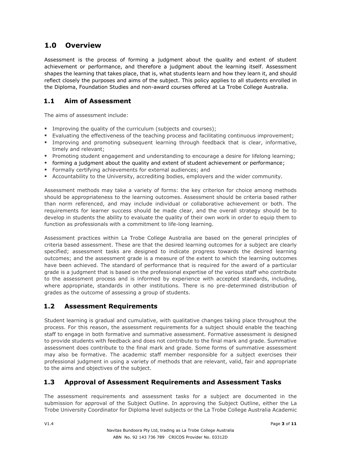## <span id="page-2-0"></span>**1.0 Overview**

Assessment is the process of forming a judgment about the quality and extent of student achievement or performance, and therefore a judgment about the learning itself. Assessment shapes the learning that takes place, that is, what students learn and how they learn it, and should reflect closely the purposes and aims of the subject. This policy applies to all students enrolled in the Diploma, Foundation Studies and non-award courses offered at La Trobe College Australia.

## <span id="page-2-1"></span>**1.1 Aim of Assessment**

The aims of assessment include:

- **EXED** Improving the quality of the curriculum (subjects and courses);
- Evaluating the effectiveness of the teaching process and facilitating continuous improvement;
- **EXEDENT** Improving and promoting subsequent learning through feedback that is clear, informative, timely and relevant;
- Promoting student engagement and understanding to encourage a desire for lifelong learning;
- forming a judgment about the quality and extent of student achievement or performance;
- **EXECT** Formally certifying achievements for external audiences; and
- **EXECOUNTER ACCOUNTED UNIVERSITY, accrediting bodies, employers and the wider community.**

Assessment methods may take a variety of forms: the key criterion for choice among methods should be appropriateness to the learning outcomes. Assessment should be criteria based rather than norm referenced, and may include individual or collaborative achievement or both. The requirements for learner success should be made clear, and the overall strategy should be to develop in students the ability to evaluate the quality of their own work in order to equip them to function as professionals with a commitment to life-long learning.

Assessment practices within La Trobe College Australia are based on the general principles of criteria based assessment. These are that the desired learning outcomes for a subject are clearly specified; assessment tasks are designed to indicate progress towards the desired learning outcomes; and the assessment grade is a measure of the extent to which the learning outcomes have been achieved. The standard of performance that is required for the award of a particular grade is a judgment that is based on the professional expertise of the various staff who contribute to the assessment process and is informed by experience with accepted standards, including, where appropriate, standards in other institutions. There is no pre-determined distribution of grades as the outcome of assessing a group of students.

## <span id="page-2-2"></span>**1.2 Assessment Requirements**

Student learning is gradual and cumulative, with qualitative changes taking place throughout the process. For this reason, the assessment requirements for a subject should enable the teaching staff to engage in both formative and summative assessment. Formative assessment is designed to provide students with feedback and does not contribute to the final mark and grade. Summative assessment does contribute to the final mark and grade. Some forms of summative assessment may also be formative. The academic staff member responsible for a subject exercises their professional judgment in using a variety of methods that are relevant, valid, fair and appropriate to the aims and objectives of the subject.

## <span id="page-2-3"></span>**1.3 Approval of Assessment Requirements and Assessment Tasks**

The assessment requirements and assessment tasks for a subject are documented in the submission for approval of the Subject Outline. In approving the Subject Outline, either the La Trobe University Coordinator for Diploma level subjects or the La Trobe College Australia Academic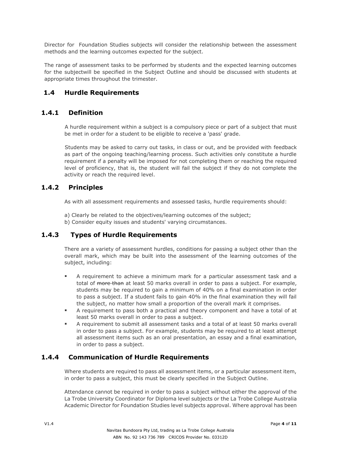Director for Foundation Studies subjects will consider the relationship between the assessment methods and the learning outcomes expected for the subject.

The range of assessment tasks to be performed by students and the expected learning outcomes for the subjectwill be specified in the Subject Outline and should be discussed with students at appropriate times throughout the trimester.

#### <span id="page-3-0"></span>**1.4 Hurdle Requirements**

## <span id="page-3-1"></span>**1.4.1 Definition**

A hurdle requirement within a subject is a compulsory piece or part of a subject that must be met in order for a student to be eligible to receive a 'pass' grade.

Students may be asked to carry out tasks, in class or out, and be provided with feedback as part of the ongoing teaching/learning process. Such activities only constitute a hurdle requirement if a penalty will be imposed for not completing them or reaching the required level of proficiency, that is, the student will fail the subject if they do not complete the activity or reach the required level.

## <span id="page-3-2"></span>**1.4.2 Principles**

As with all assessment requirements and assessed tasks, hurdle requirements should:

- a) Clearly be related to the objectives/learning outcomes of the subject;
- <span id="page-3-3"></span>b) Consider equity issues and students' varying circumstances.

#### **1.4.3 Types of Hurdle Requirements**

There are a variety of assessment hurdles, conditions for passing a subject other than the overall mark, which may be built into the assessment of the learning outcomes of the subject, including:

- A requirement to achieve a minimum mark for a particular assessment task and a total of more than at least 50 marks overall in order to pass a subject. For example, students may be required to gain a minimum of 40% on a final examination in order to pass a subject. If a student fails to gain 40% in the final examination they will fail the subject, no matter how small a proportion of the overall mark it comprises.
- A requirement to pass both a practical and theory component and have a total of at least 50 marks overall in order to pass a subject.
- A requirement to submit all assessment tasks and a total of at least 50 marks overall in order to pass a subject. For example, students may be required to at least attempt all assessment items such as an oral presentation, an essay and a final examination, in order to pass a subject.

#### <span id="page-3-4"></span>**1.4.4 Communication of Hurdle Requirements**

Where students are required to pass all assessment items, or a particular assessment item, in order to pass a subject, this must be clearly specified in the Subject Outline.

Attendance cannot be required in order to pass a subject without either the approval of the La Trobe University Coordinator for Diploma level subjects or the La Trobe College Australia Academic Director for Foundation Studies level subjects approval. Where approval has been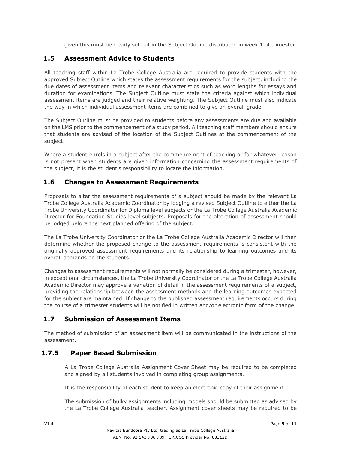given this must be clearly set out in the Subject Outline distributed in week 1 of trimester.

#### <span id="page-4-0"></span>**1.5 Assessment Advice to Students**

All teaching staff within La Trobe College Australia are required to provide students with the approved Subject Outline which states the assessment requirements for the subject, including the due dates of assessment items and relevant characteristics such as word lengths for essays and duration for examinations. The Subject Outline must state the criteria against which individual assessment items are judged and their relative weighting. The Subject Outline must also indicate the way in which individual assessment items are combined to give an overall grade.

The Subject Outline must be provided to students before any assessments are due and available on the LMS prior to the commencement of a study period. All teaching staff members should ensure that students are advised of the location of the Subject Outlines at the commencement of the subject.

Where a student enrols in a subject after the commencement of teaching or for whatever reason is not present when students are given information concerning the assessment requirements of the subject, it is the student's responsibility to locate the information.

## <span id="page-4-1"></span>**1.6 Changes to Assessment Requirements**

Proposals to alter the assessment requirements of a subject should be made by the relevant La Trobe College Australia Academic Coordinator by lodging a revised Subject Outline to either the La Trobe University Coordinator for Diploma level subjects or the La Trobe College Australia Academic Director for Foundation Studies level subjects. Proposals for the alteration of assessment should be lodged before the next planned offering of the subject.

The La Trobe University Coordinator or the La Trobe College Australia Academic Director will then determine whether the proposed change to the assessment requirements is consistent with the originally approved assessment requirements and its relationship to learning outcomes and its overall demands on the students.

Changes to assessment requirements will not normally be considered during a trimester, however, in exceptional circumstances, the La Trobe University Coordinator or the La Trobe College Australia Academic Director may approve a variation of detail in the assessment requirements of a subject, providing the relationship between the assessment methods and the learning outcomes expected for the subject are maintained. If change to the published assessment requirements occurs during the course of a trimester students will be notified in written and/or electronic form of the change.

## <span id="page-4-2"></span>**1.7 Submission of Assessment Items**

The method of submission of an assessment item will be communicated in the instructions of the assessment.

## **1.7.5 Paper Based Submission**

<span id="page-4-3"></span>A La Trobe College Australia Assignment Cover Sheet may be required to be completed and signed by all students involved in completing group assignments.

It is the responsibility of each student to keep an electronic copy of their assignment.

The submission of bulky assignments including models should be submitted as advised by the La Trobe College Australia teacher. Assignment cover sheets may be required to be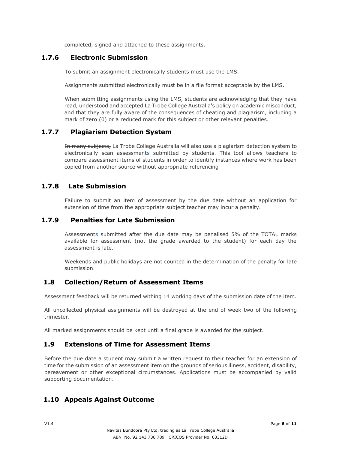<span id="page-5-0"></span>completed, signed and attached to these assignments.

#### **1.7.6 Electronic Submission**

To submit an assignment electronically students must use the LMS.

Assignments submitted electronically must be in a file format acceptable by the LMS.

When submitting assignments using the LMS, students are acknowledging that they have read, understood and accepted La Trobe College Australia's policy on academic misconduct, and that they are fully aware of the consequences of cheating and plagiarism, including a mark of zero (0) or a reduced mark for this subject or other relevant penalties.

## **1.7.7 Plagiarism Detection System**

<span id="page-5-1"></span>In many subjects, La Trobe College Australia will also use a plagiarism detection system to electronically scan assessments submitted by students. This tool allows teachers to compare assessment items of students in order to identify instances where work has been copied from another source without appropriate referencing

#### <span id="page-5-2"></span>**1.7.8 Late Submission**

<span id="page-5-3"></span>Failure to submit an item of assessment by the due date without an application for extension of time from the appropriate subject teacher may incur a penalty.

#### **1.7.9 Penalties for Late Submission**

Assessments submitted after the due date may be penalised 5% of the TOTAL marks available for assessment (not the grade awarded to the student) for each day the assessment is late.

Weekends and public holidays are not counted in the determination of the penalty for late submission.

#### <span id="page-5-4"></span>**1.8 Collection/Return of Assessment Items**

Assessment feedback will be returned withing 14 working days of the submission date of the item.

All uncollected physical assignments will be destroyed at the end of week two of the following trimester.

All marked assignments should be kept until a final grade is awarded for the subject.

#### <span id="page-5-5"></span>**1.9 Extensions of Time for Assessment Items**

Before the due date a student may submit a written request to their teacher for an extension of time for the submission of an assessment item on the grounds of serious illness, accident, disability, bereavement or other exceptional circumstances. Applications must be accompanied by valid supporting documentation.

## <span id="page-5-6"></span>**1.10 Appeals Against Outcome**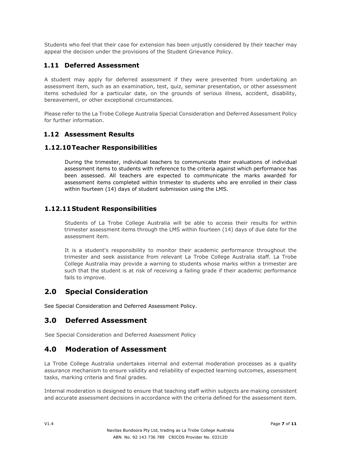Students who feel that their case for extension has been unjustly considered by their teacher may appeal the decision under the provisions of the Student Grievance Policy.

### <span id="page-6-0"></span>**1.11 Deferred Assessment**

A student may apply for deferred assessment if they were prevented from undertaking an assessment item, such as an examination, test, quiz, seminar presentation, or other assessment items scheduled for a particular date, on the grounds of serious illness, accident, disability, bereavement, or other exceptional circumstances.

Please refer to the La Trobe College Australia Special Consideration and Deferred Assessment Policy for further information.

#### <span id="page-6-2"></span><span id="page-6-1"></span>**1.12 Assessment Results**

#### **1.12.10Teacher Responsibilities**

During the trimester, individual teachers to communicate their evaluations of individual assessment items to students with reference to the criteria against which performance has been assessed. All teachers are expected to communicate the marks awarded for assessment items completed within trimester to students who are enrolled in their class within fourteen (14) days of student submission using the LMS.

#### <span id="page-6-3"></span>**1.12.11Student Responsibilities**

Students of La Trobe College Australia will be able to access their results for within trimester assessment items through the LMS within fourteen (14) days of due date for the assessment item.

It is a student's responsibility to monitor their academic performance throughout the trimester and seek assistance from relevant La Trobe College Australia staff. La Trobe College Australia may provide a warning to students whose marks within a trimester are such that the student is at risk of receiving a failing grade if their academic performance fails to improve.

## <span id="page-6-4"></span>**2.0 Special Consideration**

See Special Consideration and Deferred Assessment Policy.

#### <span id="page-6-5"></span>**3.0 Deferred Assessment**

See Special Consideration and Deferred Assessment Policy

## <span id="page-6-6"></span>**4.0 Moderation of Assessment**

La Trobe College Australia undertakes internal and external moderation processes as a quality assurance mechanism to ensure validity and reliability of expected learning outcomes, assessment tasks, marking criteria and final grades.

Internal moderation is designed to ensure that teaching staff within subjects are making consistent and accurate assessment decisions in accordance with the criteria defined for the assessment item.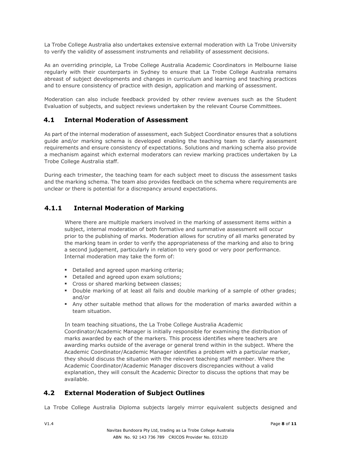La Trobe College Australia also undertakes extensive external moderation with La Trobe University to verify the validity of assessment instruments and reliability of assessment decisions.

As an overriding principle, La Trobe College Australia Academic Coordinators in Melbourne liaise regularly with their counterparts in Sydney to ensure that La Trobe College Australia remains abreast of subject developments and changes in curriculum and learning and teaching practices and to ensure consistency of practice with design, application and marking of assessment.

Moderation can also include feedback provided by other review avenues such as the Student Evaluation of subjects, and subject reviews undertaken by the relevant Course Committees.

## <span id="page-7-0"></span>**4.1 Internal Moderation of Assessment**

As part of the internal moderation of assessment, each Subject Coordinator ensures that a solutions guide and/or marking schema is developed enabling the teaching team to clarify assessment requirements and ensure consistency of expectations. Solutions and marking schema also provide a mechanism against which external moderators can review marking practices undertaken by La Trobe College Australia staff.

During each trimester, the teaching team for each subject meet to discuss the assessment tasks and the marking schema. The team also provides feedback on the schema where requirements are unclear or there is potential for a discrepancy around expectations.

#### **4.1.1 Internal Moderation of Marking**

<span id="page-7-1"></span>Where there are multiple markers involved in the marking of assessment items within a subject, internal moderation of both formative and summative assessment will occur prior to the publishing of marks. Moderation allows for scrutiny of all marks generated by the marking team in order to verify the appropriateness of the marking and also to bring a second judgement, particularly in relation to very good or very poor performance. Internal moderation may take the form of:

- Detailed and agreed upon marking criteria:
- **•** Detailed and agreed upon exam solutions;
- Cross or shared marking between classes;
- Double marking of at least all fails and double marking of a sample of other grades; and/or
- Any other suitable method that allows for the moderation of marks awarded within a team situation.

In team teaching situations, the La Trobe College Australia Academic

Coordinator/Academic Manager is initially responsible for examining the distribution of marks awarded by each of the markers. This process identifies where teachers are awarding marks outside of the average or general trend within in the subject. Where the Academic Coordinator/Academic Manager identifies a problem with a particular marker, they should discuss the situation with the relevant teaching staff member. Where the Academic Coordinator/Academic Manager discovers discrepancies without a valid explanation, they will consult the Academic Director to discuss the options that may be available.

## <span id="page-7-2"></span>**4.2 External Moderation of Subject Outlines**

La Trobe College Australia Diploma subjects largely mirror equivalent subjects designed and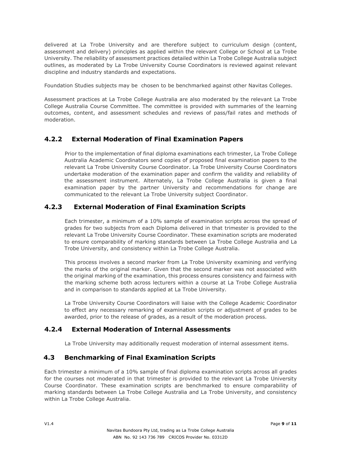delivered at La Trobe University and are therefore subject to curriculum design (content, assessment and delivery) principles as applied within the relevant College or School at La Trobe University. The reliability of assessment practices detailed within La Trobe College Australia subject outlines, as moderated by La Trobe University Course Coordinators is reviewed against relevant discipline and industry standards and expectations.

Foundation Studies subjects may be chosen to be benchmarked against other Navitas Colleges.

Assessment practices at La Trobe College Australia are also moderated by the relevant La Trobe College Australia Course Committee. The committee is provided with summaries of the learning outcomes, content, and assessment schedules and reviews of pass/fail rates and methods of moderation.

## <span id="page-8-0"></span>**4.2.2 External Moderation of Final Examination Papers**

Prior to the implementation of final diploma examinations each trimester, La Trobe College Australia Academic Coordinators send copies of proposed final examination papers to the relevant La Trobe University Course Coordinator. La Trobe University Course Coordinators undertake moderation of the examination paper and confirm the validity and reliability of the assessment instrument. Alternately, La Trobe College Australia is given a final examination paper by the partner University and recommendations for change are communicated to the relevant La Trobe University subject Coordinator.

#### **4.2.3 External Moderation of Final Examination Scripts**

<span id="page-8-1"></span>Each trimester, a minimum of a 10% sample of examination scripts across the spread of grades for two subjects from each Diploma delivered in that trimester is provided to the relevant La Trobe University Course Coordinator. These examination scripts are moderated to ensure comparability of marking standards between La Trobe College Australia and La Trobe University, and consistency within La Trobe College Australia.

This process involves a second marker from La Trobe University examining and verifying the marks of the original marker. Given that the second marker was not associated with the original marking of the examination, this process ensures consistency and fairness with the marking scheme both across lecturers within a course at La Trobe College Australia and in comparison to standards applied at La Trobe University.

La Trobe University Course Coordinators will liaise with the College Academic Coordinator to effect any necessary remarking of examination scripts or adjustment of grades to be awarded, prior to the release of grades, as a result of the moderation process.

## **4.2.4 External Moderation of Internal Assessments**

La Trobe University may additionally request moderation of internal assessment items.

## <span id="page-8-2"></span>**4.3 Benchmarking of Final Examination Scripts**

Each trimester a minimum of a 10% sample of final diploma examination scripts across all grades for the courses not moderated in that trimester is provided to the relevant La Trobe University Course Coordinator. These examination scripts are benchmarked to ensure comparability of marking standards between La Trobe College Australia and La Trobe University, and consistency within La Trobe College Australia.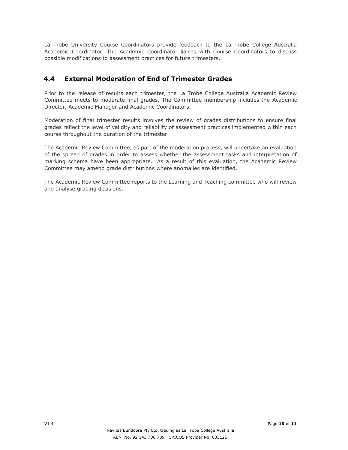La Trobe University Course Coordinators provide feedback to the La Trobe College Australia Academic Coordinator. The Academic Coordinator liaises with Course Coordinators to discuss possible modifications to assessment practices for future trimesters.

## <span id="page-9-0"></span>**4.4 External Moderation of End of Trimester Grades**

Prior to the release of results each trimester, the La Trobe College Australia Academic Review Committee meets to moderate final grades. The Committee membership includes the Academic Director, Academic Manager and Academic Coordinators.

Moderation of final trimester results involves the review of grades distributions to ensure final grades reflect the level of validity and reliability of assessment practices implemented within each course throughout the duration of the trimester.

The Academic Review Committee, as part of the moderation process, will undertake an evaluation of the spread of grades in order to assess whether the assessment tasks and interpretation of marking schema have been appropriate. As a result of this evaluation, the Academic Review Committee may amend grade distributions where anomalies are identified.

The Academic Review Committee reports to the Learning and Teaching committee who will review and analyse grading decisions.